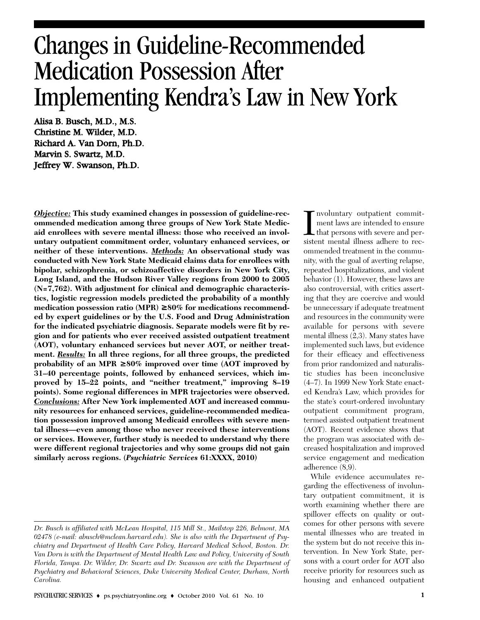# Changes in Guideline-Recommended Medication Possession After Implementing Kendra's Law in New York

Alisa B. Busch, M.D., M.S. Christine M. Wilder, M.D. Richard A. Van Dorn, Ph.D. Marvin S. Swartz, M.D. Jeffrey W. Swanson, Ph.D.

*Objective:* **This study examined changes in possession of guideline-recommended medication among three groups of New York State Medicaid enrollees with severe mental illness: those who received an involuntary outpatient commitment order, voluntary enhanced services, or neither of these interventions.** *Methods:* **An observational study was conducted with New York State Medicaid claims data for enrollees with bipolar, schizophrenia, or schizoaffective disorders in New York City, Long Island, and the Hudson River Valley regions from 2000 to 2005 (N=7,762). With adjustment for clinical and demographic characteristics, logistic regression models predicted the probability of a monthly medication possession ratio (MPR)** ≥**80% for medications recommended by expert guidelines or by the U.S. Food and Drug Administration for the indicated psychiatric diagnosis. Separate models were fit by region and for patients who ever received assisted outpatient treatment (AOT), voluntary enhanced services but never AOT, or neither treatment.** *Results:* **In all three regions, for all three groups, the predicted probability of an MPR** ≥**80% improved over time (AOT improved by 31–40 percentage points, followed by enhanced services, which improved by 15–22 points, and "neither treatment," improving 8–19 points). Some regional differences in MPR trajectories were observed.** *Conclusions:* **After New York implemented AOT and increased community resources for enhanced services, guideline-recommended medication possession improved among Medicaid enrollees with severe mental illness—even among those who never received these interventions or services. However, further study is needed to understand why there were different regional trajectories and why some groups did not gain similarly across regions. (***Psychiatric Services* **61:XXXX, 2010)**

 $\begin{minipage}{0.9\linewidth} \begin{tabular}{p{0.8cm}} \textbf{m}~\textbf{m}~\textbf{m}~\textbf{m}~\textbf{m}~\textbf{m}~\textbf{m}~\textbf{m}~\textbf{m}~\textbf{m}~\textbf{m}~\textbf{m}~\textbf{m}~\textbf{m}~\textbf{m}~\textbf{m}~\textbf{m}~\textbf{m}~\textbf{m}~\textbf{m}~\textbf{m}~\textbf{m}~\textbf{m}~\textbf{m}~\textbf{m}~\textbf{m}~\textbf{m}~\textbf{m}$ nvoluntary outpatient commitment laws are intended to ensure that persons with severe and perommended treatment in the community, with the goal of averting relapse, repeated hospitalizations, and violent behavior (1). However, these laws are also controversial, with critics asserting that they are coercive and would be unnecessary if adequate treatment and resources in the community were available for persons with severe mental illness (2,3). Many states have implemented such laws, but evidence for their efficacy and effectiveness from prior randomized and naturalistic studies has been inconclusive (4–7). In 1999 New York State enacted Kendra's Law, which provides for the state's court-ordered involuntary outpatient commitment program, termed assisted outpatient treatment (AOT). Recent evidence shows that the program was associated with decreased hospitalization and improved service engagement and medication adherence (8,9).

While evidence accumulates regarding the effectiveness of involuntary outpatient commitment, it is worth examining whether there are spillover effects on quality or outcomes for other persons with severe mental illnesses who are treated in the system but do not receive this intervention. In New York State, persons with a court order for AOT also receive priority for resources such as housing and enhanced outpatient

*Dr. Busch is affiliated with McLean Hospital, 115 Mill St., Mailstop 226, Belmont, MA 02478 (e-mail: abusch@mclean.harvard.edu). She is also with the Department of Psychiatry and Department of Health Care Policy, Harvard Medical School, Boston. Dr. Van Dorn is with the Department of Mental Health Law and Policy, University of South Florida, Tampa. Dr. Wilder, Dr. Swartz and Dr. Swanson are with the Department of Psychiatry and Behavioral Sciences, Duke University Medical Center, Durham, North Carolina.*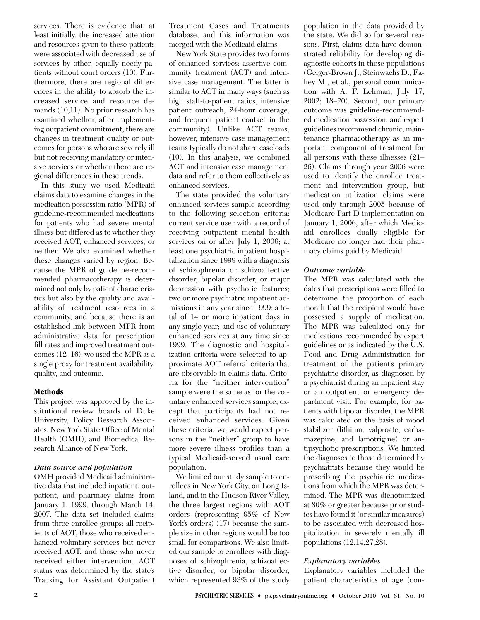services. There is evidence that, at least initially, the increased attention and resources given to these patients were associated with decreased use of services by other, equally needy patients without court orders (10). Furthermore, there are regional differences in the ability to absorb the increased service and resource demands (10,11). No prior research has examined whether, after implementing outpatient commitment, there are changes in treatment quality or outcomes for persons who are severely ill but not receiving mandatory or intensive services or whether there are regional differences in these trends.

In this study we used Medicaid claims data to examine changes in the medication possession ratio (MPR) of guideline-recommended medications for patients who had severe mental illness but differed as to whether they received AOT, enhanced services, or neither. We also examined whether these changes varied by region. Because the MPR of guideline-recommended pharmacotherapy is determined not only by patient characteristics but also by the quality and availability of treatment resources in a community, and because there is an established link between MPR from administrative data for prescription fill rates and improved treatment outcomes (12–16), we used the MPR as a single proxy for treatment availability, quality, and outcome.

## **Methods**

This project was approved by the institutional review boards of Duke University, Policy Research Associates, New York State Office of Mental Health (OMH), and Biomedical Research Alliance of New York.

# *Data source and population*

OMH provided Medicaid administrative data that included inpatient, outpatient, and pharmacy claims from January 1, 1999, through March 14, 2007. The data set included claims from three enrollee groups: all recipients of AOT, those who received enhanced voluntary services but never received AOT, and those who never received either intervention. AOT status was determined by the state's Tracking for Assistant Outpatient Treatment Cases and Treatments database, and this information was merged with the Medicaid claims.

New York State provides two forms of enhanced services: assertive community treatment (ACT) and intensive case management. The latter is similar to ACT in many ways (such as high staff-to-patient ratios, intensive patient outreach, 24-hour coverage, and frequent patient contact in the community). Unlike ACT teams, however, intensive case management teams typically do not share caseloads (10). In this analysis, we combined ACT and intensive case management data and refer to them collectively as enhanced services.

The state provided the voluntary enhanced services sample according to the following selection criteria: current service user with a record of receiving outpatient mental health services on or after July 1, 2006; at least one psychiatric inpatient hospitalization since 1999 with a diagnosis of schizophrenia or schizoaffective disorder, bipolar disorder, or major depression with psychotic features; two or more psychiatric inpatient admissions in any year since 1999; a total of 14 or more inpatient days in any single year; and use of voluntary enhanced services at any time since 1999. The diagnostic and hospitalization criteria were selected to approximate AOT referral criteria that are observable in claims data. Criteria for the "neither intervention" sample were the same as for the voluntary enhanced services sample, except that participants had not received enhanced services. Given these criteria, we would expect persons in the "neither" group to have more severe illness profiles than a typical Medicaid-served usual care population.

We limited our study sample to enrollees in New York City, on Long Island, and in the Hudson River Valley, the three largest regions with AOT orders (representing 95% of New York's orders) (17) because the sample size in other regions would be too small for comparisons. We also limited our sample to enrollees with diagnoses of schizophrenia, schizoaffective disorder, or bipolar disorder, which represented 93% of the study population in the data provided by the state. We did so for several reasons. First, claims data have demonstrated reliability for developing diagnostic cohorts in these populations (Geiger-Brown J., Steinwachs D., Fahey M., et al., personal communication with A. F. Lehman, July 17, 2002; 18–20). Second, our primary outcome was guideline-recommended medication possession, and expert guidelines recommend chronic, maintenance pharmacotherapy as an important component of treatment for all persons with these illnesses (21– 26). Claims through year 2006 were used to identify the enrollee treatment and intervention group, but medication utilization claims were used only through 2005 because of Medicare Part D implementation on January 1, 2006, after which Medicaid enrollees dually eligible for Medicare no longer had their pharmacy claims paid by Medicaid.

# *Outcome variable*

The MPR was calculated with the dates that prescriptions were filled to determine the proportion of each month that the recipient would have possessed a supply of medication. The MPR was calculated only for medications recommended by expert guidelines or as indicated by the U.S. Food and Drug Administration for treatment of the patient's primary psychiatric disorder, as diagnosed by a psychiatrist during an inpatient stay or an outpatient or emergency department visit. For example, for patients with bipolar disorder, the MPR was calculated on the basis of mood stabilizer (lithium, valproate, carbamazepine, and lamotrigine) or antipsychotic prescriptions. We limited the diagnoses to those determined by psychiatrists because they would be prescribing the psychiatric medications from which the MPR was determined. The MPR was dichotomized at 80% or greater because prior studies have found it (or similar measures) to be associated with decreased hospitalization in severely mentally ill populations (12,14,27,28).

## *Explanatory variables*

Explanatory variables included the patient characteristics of age (con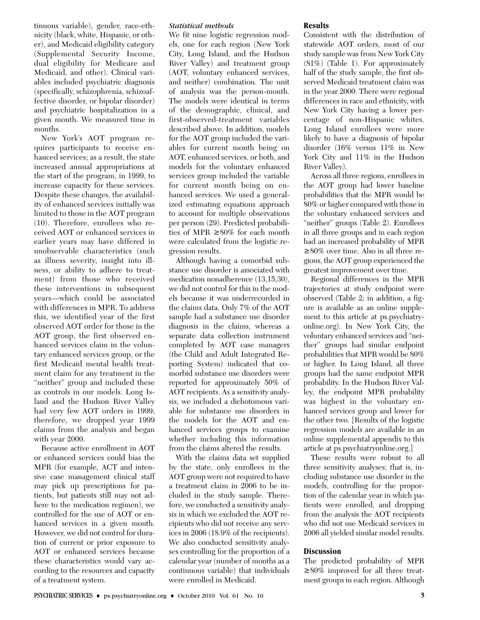tinuous variable), gender, race-ethnicity (black, white, Hispanic, or other), and Medicaid eligibility category (Supplemental Security Income, dual eligibility for Medicare and Medicaid, and other). Clinical variables included psychiatric diagnosis (specifically, schizophrenia, schizoaffective disorder, or bipolar disorder) and psychiatric hospitalization in a given month. We measured time in months.

New York's AOT program requires participants to receive enhanced services; as a result, the state increased annual appropriations at the start of the program, in 1999, to increase capacity for these services. Despite these changes, the availability of enhanced services initially was limited to those in the AOT program (10). Therefore, enrollees who received AOT or enhanced services in earlier years may have differed in unobservable characteristics (such as illness severity, insight into illness, or ability to adhere to treatment) from those who received these interventions in subsequent years—which could be associated with differences in MPR. To address this, we identified year of the first observed AOT order for those in the AOT group, the first observed enhanced services claim in the voluntary enhanced services group, or the first Medicaid mental health treatment claim for any treatment in the "neither" group and included these as controls in our models. Long Island and the Hudson River Valley had very few AOT orders in 1999; therefore, we dropped year 1999 claims from the analysis and began with year 2000.

Because active enrollment in AOT or enhanced services could bias the MPR (for example, ACT and intensive case management clinical staff may pick up prescriptions for patients, but patients still may not adhere to the medication regimen), we controlled for the use of AOT or enhanced services in a given month. However, we did not control for duration of current or prior exposure to AOT or enhanced services because these characteristics would vary according to the resources and capacity of a treatment system.

## *Statistical methods*

We fit nine logistic regression models, one for each region (New York City, Long Island, and the Hudson River Valley) and treatment group (AOT, voluntary enhanced services, and neither) combination. The unit of analysis was the person-month. The models were identical in terms of the demographic, clinical, and first-observed-treatment variables described above. In addition, models for the AOT group included the variables for current month being on AOT, enhanced services, or both, and models for the voluntary enhanced services group included the variable for current month being on enhanced services. We used a generalized estimating equations approach to account for multiple observations per person (29). Predicted probabilities of MPR ≥80% for each month were calculated from the logistic regression results.

Although having a comorbid substance use disorder is associated with medication nonadherence (13,15,30), we did not control for this in the models because it was underrecorded in the claims data. Only 7% of the AOT sample had a substance use disorder diagnosis in the claims, whereas a separate data collection instrument completed by AOT case managers (the Child and Adult Integrated Reporting System) indicated that comorbid substance use disorders were reported for approximately 50% of AOT recipients. As a sensitivity analysis, we included a dichotomous variable for substance use disorders in the models for the AOT and enhanced services groups to examine whether including this information from the claims altered the results.

With the claims data set supplied by the state, only enrollees in the AOT group were not required to have a treatment claim in 2006 to be included in the study sample. Therefore, we conducted a sensitivity analysis in which we excluded the AOT recipients who did not receive any services in 2006 (18.9% of the recipients). We also conducted sensitivity analyses controlling for the proportion of a calendar year (number of months as a continuous variable) that individuals were enrolled in Medicaid.

## **Results**

Consistent with the distribution of statewide AOT orders, most of our study sample was from New York City (81%) (Table 1). For approximately half of the study sample, the first observed Medicaid treatment claim was in the year 2000. There were regional differences in race and ethnicity, with New York City having a lower percentage of non-Hispanic whites. Long Island enrollees were more likely to have a diagnosis of bipolar disorder (16% versus 11% in New York City and 11% in the Hudson River Valley).

Across all three regions, enrollees in the AOT group had lower baseline probabilities that the MPR would be 80% or higher compared with those in the voluntary enhanced services and "neither" groups (Table 2). Enrollees in all three groups and in each region had an increased probability of MPR ≥80% over time. Also in all three regions, the AOT group experienced the greatest improvement over time.

Regional differences in the MPR trajectories at study endpoint were observed (Table 2; in addition, a figure is available as an online supplement to this article at ps.psychiatryonline.org). In New York City, the voluntary enhanced services and "neither" groups had similar endpoint probabilities that MPR would be 80% or higher. In Long Island, all three groups had the same endpoint MPR probability. In the Hudson River Valley, the endpoint MPR probability was highest in the voluntary enhanced services group and lower for the other two. [Results of the logistic regression models are available in an online supplemental appendix to this article at ps.psychiatryonline.org.]

These results were robust to all three sensitivity analyses; that is, including substance use disorder in the models, controlling for the proportion of the calendar year in which patients were enrolled, and dropping from the analysis the AOT recipients who did not use Medicaid services in 2006 all yielded similar model results.

#### **Discussion**

The predicted probability of MPR ≥80% improved for all three treatment groups in each region. Although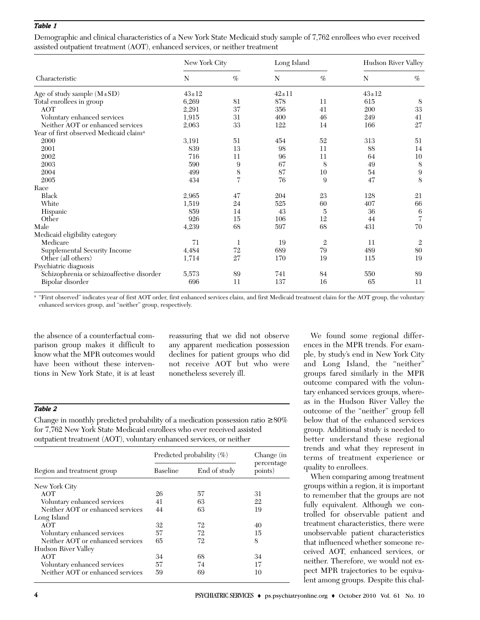## *Table 1*

Demographic and clinical characteristics of a New York State Medicaid study sample of 7,762 enrollees who ever received assisted outpatient treatment (AOT), enhanced services, or neither treatment

|                                                    | New York City |      | Long Island |                | Hudson River Valley |                  |
|----------------------------------------------------|---------------|------|-------------|----------------|---------------------|------------------|
| Characteristic                                     | N             | $\%$ | $\mathbf N$ | $\%$           | ${\rm N}$           | $\%$             |
| Age of study sample $(M \pm SD)$                   | $43 \pm 12$   |      | $42 + 11$   |                | $43 \pm 12$         |                  |
| Total enrollees in group                           | 6,269         | 81   | 878         | 11             | 615                 | 8                |
| <b>AOT</b>                                         | 2,291         | 37   | 356         | 41             | 200                 | $33\,$           |
| Voluntary enhanced services                        | 1,915         | 31   | 400         | 46             | 249                 | 41               |
| Neither AOT or enhanced services                   | 2,063         | 33   | 122         | 14             | 166                 | 27               |
| Year of first observed Medicaid claim <sup>a</sup> |               |      |             |                |                     |                  |
| 2000                                               | 3,191         | 51   | 454         | 52             | 313                 | 51               |
| 2001                                               | 839           | 13   | 98          | 11             | 88                  | 14               |
| 2002                                               | 716           | 11   | 96          | 11             | 64                  | 10               |
| 2003                                               | 590           | 9    | 67          | 8              | 49                  | 8                |
| 2004                                               | 499           | 8    | 87          | 10             | 54                  | $\boldsymbol{9}$ |
| 2005                                               | 434           | 7    | 76          | 9              | 47                  | 8                |
| Race                                               |               |      |             |                |                     |                  |
| Black                                              | 2,965         | 47   | 204         | 23             | 128                 | 21               |
| White                                              | 1,519         | 24   | 525         | 60             | 407                 | 66               |
| Hispanic                                           | 859           | 14   | 43          | $\overline{5}$ | 36                  | $\,6\,$          |
| Other                                              | 926           | 15   | 106         | 12             | 44                  | $\overline{7}$   |
| Male                                               | 4,239         | 68   | 597         | 68             | 431                 | 70               |
| Medicaid eligibility category                      |               |      |             |                |                     |                  |
| Medicare                                           | 71            | 1    | 19          | $\mathbf{2}$   | 11                  | $\overline{2}$   |
| Supplemental Security Income                       | 4,484         | 72   | 689         | 79             | 489                 | 80               |
| Other (all others)                                 | 1,714         | 27   | 170         | 19             | 115                 | 19               |
| Psychiatric diagnosis                              |               |      |             |                |                     |                  |
| Schizophrenia or schizoaffective disorder          | 5,573         | 89   | 741         | 84             | 550                 | 89               |
| Bipolar disorder                                   | 696           | 11   | 137         | 16             | 65                  | 11               |

<sup>a</sup> "First observed" indicates year of first AOT order, first enhanced services claim, and first Medicaid treatment claim for the AOT group, the voluntary enhanced services group, and "neither" group, respectively.

the absence of a counterfactual comparison group makes it difficult to know what the MPR outcomes would have been without these interventions in New York State, it is at least reassuring that we did not observe any apparent medication possession declines for patient groups who did not receive AOT but who were nonetheless severely ill.

# *Table 2*

Change in monthly predicted probability of a medication possession ratio  $\geq 80\%$ for 7,762 New York State Medicaid enrollees who ever received assisted outpatient treatment (AOT), voluntary enhanced services, or neither

|                                  | Predicted probability $(\%)$ | Change (in   |                       |  |
|----------------------------------|------------------------------|--------------|-----------------------|--|
| Region and treatment group       | Baseline                     | End of study | percentage<br>points) |  |
| New York City                    |                              |              |                       |  |
| AOT                              | 26                           | 57           | 31                    |  |
| Voluntary enhanced services      | 41                           | 63           | 22                    |  |
| Neither AOT or enhanced services | 44                           | 63           | 19                    |  |
| Long Island                      |                              |              |                       |  |
| AOT                              | 32                           | 72           | 40                    |  |
| Voluntary enhanced services      | 57                           | 72           | 15                    |  |
| Neither AOT or enhanced services | 65                           | 72           | 8                     |  |
| Hudson River Valley              |                              |              |                       |  |
| <b>AOT</b>                       | 34                           | 68           | 34                    |  |
| Voluntary enhanced services      | 57                           | 74           | 17                    |  |
| Neither AOT or enhanced services | 59                           | 69           | 10                    |  |

We found some regional differences in the MPR trends. For example, by study's end in New York City and Long Island, the "neither" groups fared similarly in the MPR outcome compared with the voluntary enhanced services groups, whereas in the Hudson River Valley the outcome of the "neither" group fell below that of the enhanced services group. Additional study is needed to better understand these regional trends and what they represent in terms of treatment experience or quality to enrollees.

When comparing among treatment groups within a region, it is important to remember that the groups are not fully equivalent. Although we controlled for observable patient and treatment characteristics, there were unobservable patient characteristics that influenced whether someone received AOT, enhanced services, or neither. Therefore, we would not expect MPR trajectories to be equivalent among groups. Despite this chal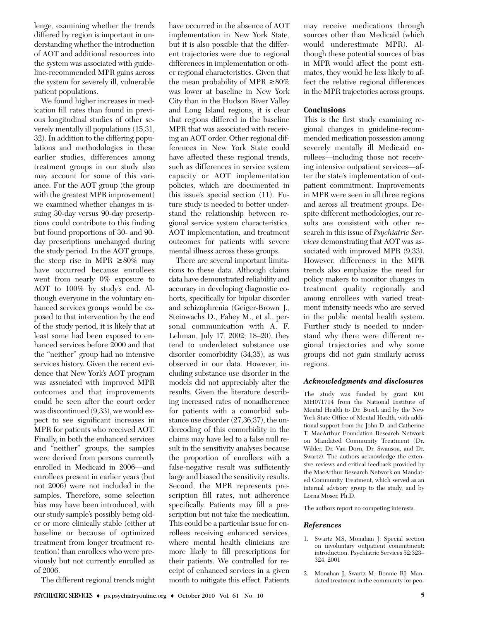lenge, examining whether the trends differed by region is important in understanding whether the introduction of AOT and additional resources into the system was associated with guideline-recommended MPR gains across the system for severely ill, vulnerable patient populations.

We found higher increases in medication fill rates than found in previous longitudinal studies of other severely mentally ill populations (15,31, 32). In addition to the differing populations and methodologies in these earlier studies, differences among treatment groups in our study also may account for some of this variance. For the AOT group (the group with the greatest MPR improvement) we examined whether changes in issuing 30-day versus 90-day prescriptions could contribute to this finding but found proportions of 30- and 90 day prescriptions unchanged during the study period. In the AOT groups, the steep rise in MPR ≥80% may have occurred because enrollees went from nearly 0% exposure to AOT to 100% by study's end. Although everyone in the voluntary enhanced services groups would be exposed to that intervention by the end of the study period, it is likely that at least some had been exposed to enhanced services before 2000 and that the "neither" group had no intensive services history. Given the recent evidence that New York's AOT program was associated with improved MPR outcomes and that improvements could be seen after the court order was discontinued (9,33), we would expect to see significant increases in MPR for patients who received AOT. Finally, in both the enhanced services and "neither" groups, the samples were derived from persons currently enrolled in Medicaid in 2006—and enrollees present in earlier years (but not 2006) were not included in the samples. Therefore, some selection bias may have been introduced, with our study sample's possibly being older or more clinically stable (either at baseline or because of optimized treatment from longer treatment retention) than enrollees who were previously but not currently enrolled as of 2006.

The different regional trends might

have occurred in the absence of AOT implementation in New York State, but it is also possible that the different trajectories were due to regional differences in implementation or other regional characteristics. Given that the mean probability of MPR  $\geq 80\%$ was lower at baseline in New York City than in the Hudson River Valley and Long Island regions, it is clear that regions differed in the baseline MPR that was associated with receiving an AOT order. Other regional differences in New York State could have affected these regional trends, such as differences in service system capacity or AOT implementation policies, which are documented in this issue's special section (11). Future study is needed to better understand the relationship between regional service system characteristics, AOT implementation, and treatment outcomes for patients with severe mental illness across these groups.

There are several important limitations to these data. Although claims data have demonstrated reliability and accuracy in developing diagnostic cohorts, specifically for bipolar disorder and schizophrenia (Geiger-Brown J., Steinwachs D., Fahey M., et al., personal communication with A. F. Lehman, July 17, 2002; 18–20), they tend to underdetect substance use disorder comorbidity (34,35), as was observed in our data. However, including substance use disorder in the models did not appreciably alter the results. Given the literature describing increased rates of nonadherence for patients with a comorbid substance use disorder (27,36,37), the undercoding of this comorbidity in the claims may have led to a false null result in the sensitivity analyses because the proportion of enrollees with a false-negative result was sufficiently large and biased the sensitivity results. Second, the MPR represents prescription fill rates, not adherence specifically. Patients may fill a prescription but not take the medication. This could be a particular issue for enrollees receiving enhanced services, where mental health clinicians are more likely to fill prescriptions for their patients. We controlled for receipt of enhanced services in a given month to mitigate this effect. Patients

may receive medications through sources other than Medicaid (which would underestimate MPR). Although these potential sources of bias in MPR would affect the point estimates, they would be less likely to affect the relative regional differences in the MPR trajectories across groups.

## **Conclusions**

This is the first study examining regional changes in guideline-recommended medication possession among severely mentally ill Medicaid enrollees—including those not receiving intensive outpatient services—after the state's implementation of outpatient commitment. Improvements in MPR were seen in all three regions and across all treatment groups. Despite different methodologies, our results are consistent with other research in this issue of *Psychiatric Services* demonstrating that AOT was associated with improved MPR (9,33). However, differences in the MPR trends also emphasize the need for policy makers to monitor changes in treatment quality regionally and among enrollees with varied treatment intensity needs who are served in the public mental health system. Further study is needed to understand why there were different regional trajectories and why some groups did not gain similarly across regions.

## *Acknowledgments and disclosures*

The study was funded by grant K01 MH071714 from the National Institute of Mental Health to Dr. Busch and by the New York State Office of Mental Health, with additional support from the John D. and Catherine T. MacArthur Foundation Research Network on Mandated Community Treatment (Dr. Wilder, Dr. Van Dorn, Dr. Swanson, and Dr. Swartz). The authors acknowledge the extensive reviews and critical feedback provided by the MacArthur Research Network on Mandated Community Treatment, which served as an internal advisory group to the study, and by Lorna Moser, Ph.D.

The authors report no competing interests.

## *References*

- 1. Swartz MS, Monahan J: Special section on involuntary outpatient commitment: introduction. Psychiatric Services 52:323– 324, 2001
- 2. Monahan J, Swartz M, Bonnie RJ: Mandated treatment in the community for peo-